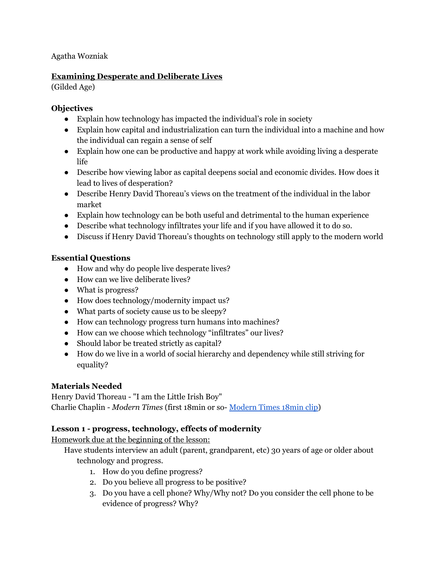Agatha Wozniak

### **Examining Desperate and Deliberate Lives**

(Gilded Age)

### **Objectives**

- Explain how technology has impacted the individual's role in society
- Explain how capital and industrialization can turn the individual into a machine and how the individual can regain a sense of self
- Explain how one can be productive and happy at work while avoiding living a desperate life
- Describe how viewing labor as capital deepens social and economic divides. How does it lead to lives of desperation?
- Describe Henry David Thoreau's views on the treatment of the individual in the labor market
- Explain how technology can be both useful and detrimental to the human experience
- Describe what technology infiltrates your life and if you have allowed it to do so.
- Discuss if Henry David Thoreau's thoughts on technology still apply to the modern world

# **Essential Questions**

- How and why do people live desperate lives?
- How can we live deliberate lives?
- What is progress?
- How does technology/modernity impact us?
- What parts of society cause us to be sleepy?
- How can technology progress turn humans into machines?
- How can we choose which technology "infiltrates" our lives?
- Should labor be treated strictly as capital?
- How do we live in a world of social hierarchy and dependency while still striving for equality?

# **Materials Needed**

Henry David Thoreau - "I am the Little Irish Boy" Charlie Chaplin - *Modern Times* (first 18min or so- [Modern](https://www.youtube.com/watch?v=7IgNqy9TbNs) Times 18min clip)

# **Lesson 1 - progress, technology, effects of modernity**

Homework due at the beginning of the lesson:

Have students interview an adult (parent, grandparent, etc) 30 years of age or older about technology and progress.

- 1. How do you define progress?
- 2. Do you believe all progress to be positive?
- 3. Do you have a cell phone? Why/Why not? Do you consider the cell phone to be evidence of progress? Why?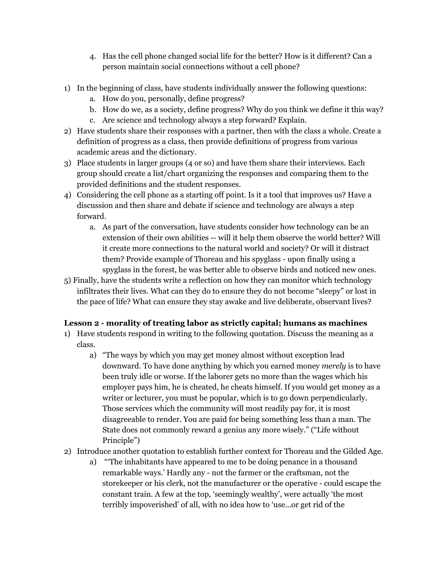- 4. Has the cell phone changed social life for the better? How is it different? Can a person maintain social connections without a cell phone?
- 1) In the beginning of class, have students individually answer the following questions:
	- a. How do you, personally, define progress?
	- b. How do we, as a society, define progress? Why do you think we define it this way?
	- c. Are science and technology always a step forward? Explain.
- 2) Have students share their responses with a partner, then with the class a whole. Create a definition of progress as a class, then provide definitions of progress from various academic areas and the dictionary.
- 3) Place students in larger groups (4 or so) and have them share their interviews. Each group should create a list/chart organizing the responses and comparing them to the provided definitions and the student responses.
- 4) Considering the cell phone as a starting off point. Is it a tool that improves us? Have a discussion and then share and debate if science and technology are always a step forward.
	- a. As part of the conversation, have students consider how technology can be an extension of their own abilities -- will it help them observe the world better? Will it create more connections to the natural world and society? Or will it distract them? Provide example of Thoreau and his spyglass - upon finally using a spyglass in the forest, he was better able to observe birds and noticed new ones.
- 5) Finally, have the students write a reflection on how they can monitor which technology infiltrates their lives. What can they do to ensure they do not become "sleepy" or lost in the pace of life? What can ensure they stay awake and live deliberate, observant lives?

# **Lesson 2 - morality of treating labor as strictly capital; humans as machines**

- 1) Have students respond in writing to the following quotation. Discuss the meaning as a class.
	- a) "The ways by which you may get money almost without exception lead downward. To have done anything by which you earned money *merely* is to have been truly idle or worse. If the laborer gets no more than the wages which his employer pays him, he is cheated, he cheats himself. If you would get money as a writer or lecturer, you must be popular, which is to go down perpendicularly. Those services which the community will most readily pay for, it is most disagreeable to render. You are paid for being something less than a man. The State does not commonly reward a genius any more wisely." ("Life without Principle")
- 2) Introduce another quotation to establish further context for Thoreau and the Gilded Age.
	- a) "'The inhabitants have appeared to me to be doing penance in a thousand remarkable ways.' Hardly any - not the farmer or the craftsman, not the storekeeper or his clerk, not the manufacturer or the operative - could escape the constant train. A few at the top, 'seemingly wealthy', were actually 'the most terribly impoverished' of all, with no idea how to 'use...or get rid of the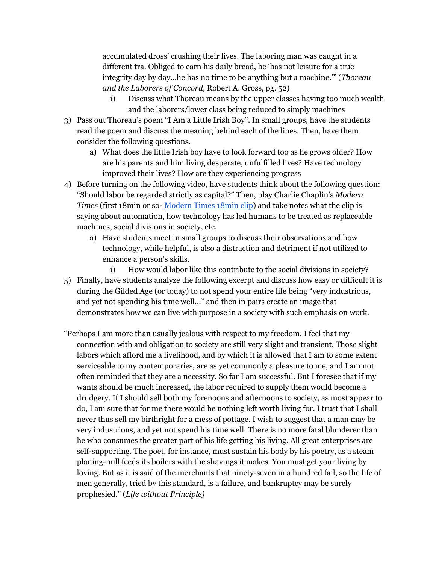accumulated dross' crushing their lives. The laboring man was caught in a different tra. Obliged to earn his daily bread, he 'has not leisure for a true integrity day by day...he has no time to be anything but a machine.'" (*Thoreau and the Laborers of Concord,* Robert A. Gross, pg. 52)

- i) Discuss what Thoreau means by the upper classes having too much wealth and the laborers/lower class being reduced to simply machines
- 3) Pass out Thoreau's poem "I Am a Little Irish Boy". In small groups, have the students read the poem and discuss the meaning behind each of the lines. Then, have them consider the following questions.
	- a) What does the little Irish boy have to look forward too as he grows older? How are his parents and him living desperate, unfulfilled lives? Have technology improved their lives? How are they experiencing progress
- 4) Before turning on the following video, have students think about the following question: "Should labor be regarded strictly as capital?" Then, play Charlie Chaplin's *Modern Times* (first 18min or so- [Modern](https://www.youtube.com/watch?v=7IgNqy9TbNs) Times 18min clip) and take notes what the clip is saying about automation, how technology has led humans to be treated as replaceable machines, social divisions in society, etc.
	- a) Have students meet in small groups to discuss their observations and how technology, while helpful, is also a distraction and detriment if not utilized to enhance a person's skills.
- i) How would labor like this contribute to the social divisions in society? 5) Finally, have students analyze the following excerpt and discuss how easy or difficult it is during the Gilded Age (or today) to not spend your entire life being "very industrious, and yet not spending his time well…" and then in pairs create an image that demonstrates how we can live with purpose in a society with such emphasis on work.
- "Perhaps I am more than usually jealous with respect to my freedom. I feel that my connection with and obligation to society are still very slight and transient. Those slight labors which afford me a livelihood, and by which it is allowed that I am to some extent serviceable to my contemporaries, are as yet commonly a pleasure to me, and I am not often reminded that they are a necessity. So far I am successful. But I foresee that if my wants should be much increased, the labor required to supply them would become a drudgery. If I should sell both my forenoons and afternoons to society, as most appear to do, I am sure that for me there would be nothing left worth living for. I trust that I shall never thus sell my birthright for a mess of pottage. I wish to suggest that a man may be very industrious, and yet not spend his time well. There is no more fatal blunderer than he who consumes the greater part of his life getting his living. All great enterprises are self-supporting. The poet, for instance, must sustain his body by his poetry, as a steam planing-mill feeds its boilers with the shavings it makes. You must get your living by loving. But as it is said of the merchants that ninety-seven in a hundred fail, so the life of men generally, tried by this standard, is a failure, and bankruptcy may be surely prophesied." (*Life without Principle)*